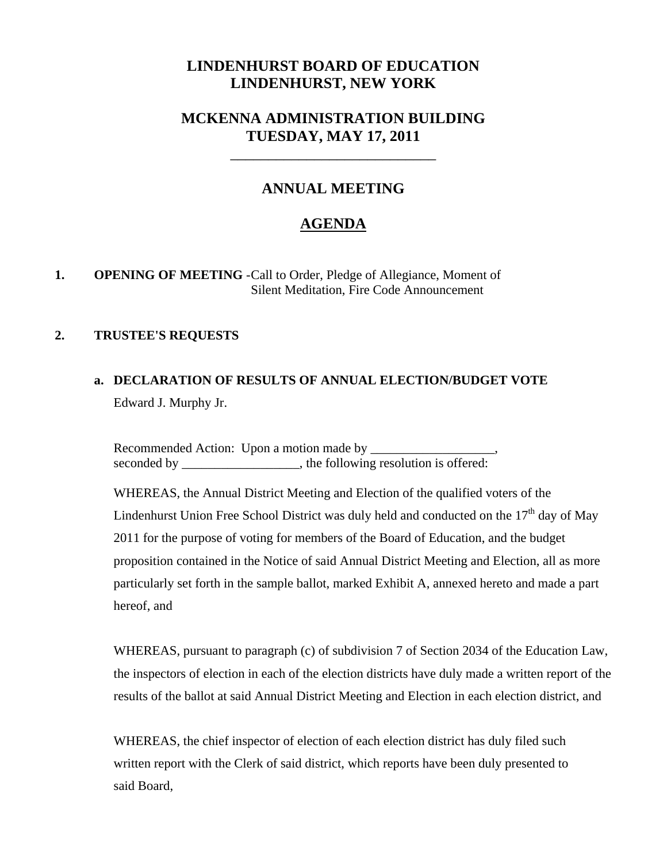## **LINDENHURST BOARD OF EDUCATION LINDENHURST, NEW YORK**

## **MCKENNA ADMINISTRATION BUILDING TUESDAY, MAY 17, 2011**

\_\_\_\_\_\_\_\_\_\_\_\_\_\_\_\_\_\_\_\_\_\_\_\_\_\_\_

## **ANNUAL MEETING**

## **AGENDA**

#### **1. OPENING OF MEETING** - Call to Order, Pledge of Allegiance, Moment of Silent Meditation, Fire Code Announcement

#### **2. TRUSTEE'S REQUESTS**

## **a. DECLARATION OF RESULTS OF ANNUAL ELECTION/BUDGET VOTE** Edward J. Murphy Jr.

Recommended Action: Upon a motion made by seconded by the following resolution is offered:

WHEREAS, the Annual District Meeting and Election of the qualified voters of the Lindenhurst Union Free School District was duly held and conducted on the  $17<sup>th</sup>$  day of May 2011 for the purpose of voting for members of the Board of Education, and the budget proposition contained in the Notice of said Annual District Meeting and Election, all as more particularly set forth in the sample ballot, marked Exhibit A, annexed hereto and made a part hereof, and

WHEREAS, pursuant to paragraph (c) of subdivision 7 of Section 2034 of the Education Law, the inspectors of election in each of the election districts have duly made a written report of the results of the ballot at said Annual District Meeting and Election in each election district, and

 WHEREAS, the chief inspector of election of each election district has duly filed such written report with the Clerk of said district, which reports have been duly presented to said Board,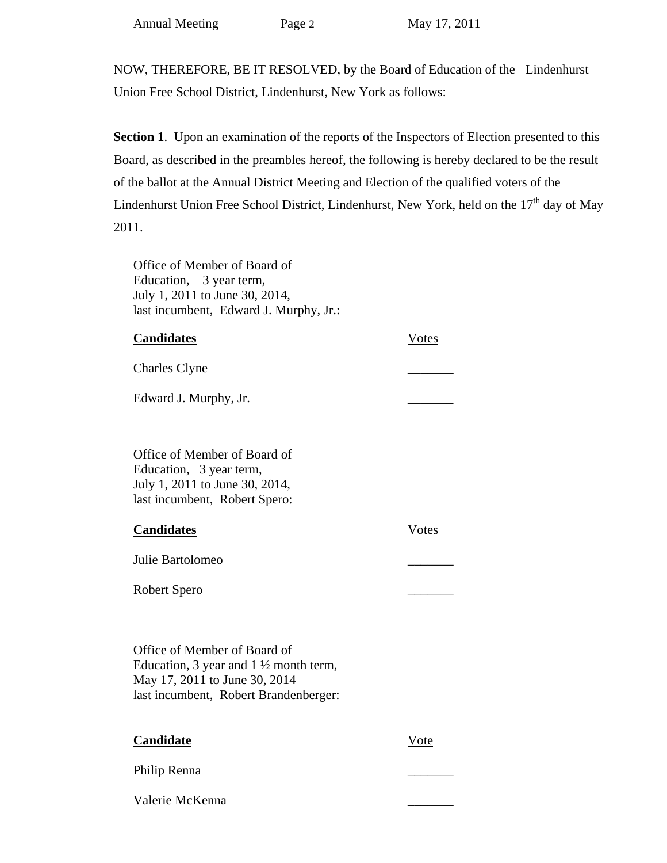NOW, THEREFORE, BE IT RESOLVED, by the Board of Education of the Lindenhurst Union Free School District, Lindenhurst, New York as follows:

**Section 1.** Upon an examination of the reports of the Inspectors of Election presented to this Board, as described in the preambles hereof, the following is hereby declared to be the result of the ballot at the Annual District Meeting and Election of the qualified voters of the Lindenhurst Union Free School District, Lindenhurst, New York, held on the  $17<sup>th</sup>$  day of May 2011.

 Office of Member of Board of Education, 3 year term, July 1, 2011 to June 30, 2014, last incumbent, Edward J. Murphy, Jr.:

| <b>Candidates</b>     | Votes |
|-----------------------|-------|
| <b>Charles Clyne</b>  |       |
| Edward J. Murphy, Jr. |       |

 Office of Member of Board of Education, 3 year term, July 1, 2011 to June 30, 2014, last incumbent, Robert Spero:

| <b>Candidates</b> | Votes |
|-------------------|-------|
| Julie Bartolomeo  |       |

Robert Spero \_\_\_\_\_\_\_

 Office of Member of Board of Education, 3 year and  $1\frac{1}{2}$  month term, May 17, 2011 to June 30, 2014 last incumbent, Robert Brandenberger:

| Candidate       | Vote |
|-----------------|------|
| Philip Renna    |      |
| Valerie McKenna |      |